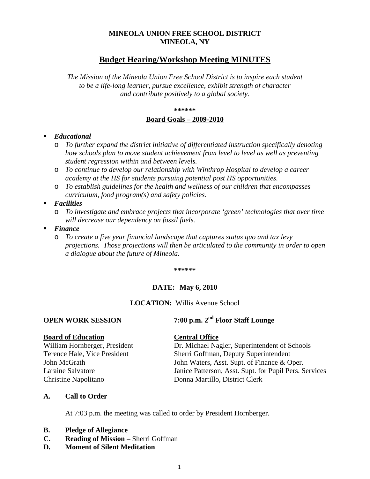## **MINEOLA UNION FREE SCHOOL DISTRICT MINEOLA, NY**

# **Budget Hearing/Workshop Meeting MINUTES**

*The Mission of the Mineola Union Free School District is to inspire each student to be a life-long learner, pursue excellence, exhibit strength of character and contribute positively to a global society.*

**\*\*\*\*\*\***

#### **Board Goals – 2009-2010**

### *Educational*

- o *To further expand the district initiative of differentiated instruction specifically denoting how schools plan to move student achievement from level to level as well as preventing student regression within and between levels.*
- o *To continue to develop our relationship with Winthrop Hospital to develop a career academy at the HS for students pursuing potential post HS opportunities.*
- o *To establish guidelines for the health and wellness of our children that encompasses curriculum, food program(s) and safety policies.*
- *Facilities* 
	- o *To investigate and embrace projects that incorporate 'green' technologies that over time will decrease our dependency on fossil fuels.*
- *Finance* 
	- o *To create a five year financial landscape that captures status quo and tax levy projections. Those projections will then be articulated to the community in order to open a dialogue about the future of Mineola.*

**\*\*\*\*\*\***

### **DATE: May 6, 2010**

### **LOCATION:** Willis Avenue School

# **OPEN WORK SESSION 7:00 p.m. 2nd Floor Staff Lounge**

**Board of Education**<br>William Hornberger, President **Central Office**<br>Dr. Michael Na

Dr. Michael Nagler, Superintendent of Schools Terence Hale, Vice President Sherri Goffman, Deputy Superintendent John McGrath John Waters, Asst. Supt. of Finance & Oper. Laraine Salvatore Janice Patterson, Asst. Supt. for Pupil Pers. Services Christine Napolitano Donna Martillo, District Clerk

### **A. Call to Order**

At 7:03 p.m. the meeting was called to order by President Hornberger.

- **B. Pledge of Allegiance**
- **C. Reading of Mission –** Sherri Goffman
- **D. Moment of Silent Meditation**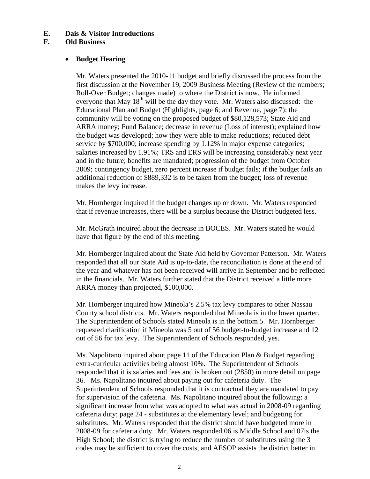## **E. Dais & Visitor Introductions**

## **F. Old Business**

## • **Budget Hearing**

Mr. Waters presented the 2010-11 budget and briefly discussed the process from the first discussion at the November 19, 2009 Business Meeting (Review of the numbers; Roll-Over Budget; changes made) to where the District is now. He informed everyone that May  $18<sup>th</sup>$  will be the day they vote. Mr. Waters also discussed: the Educational Plan and Budget (Highlights, page 6; and Revenue, page 7); the community will be voting on the proposed budget of \$80,128,573; State Aid and ARRA money; Fund Balance; decrease in revenue (Loss of interest); explained how the budget was developed; how they were able to make reductions; reduced debt service by \$700,000; increase spending by 1.12% in major expense categories; salaries increased by 1.91%; TRS and ERS will be increasing considerably next year and in the future; benefits are mandated; progression of the budget from October 2009; contingency budget, zero percent increase if budget fails; if the budget fails an additional reduction of \$889,332 is to be taken from the budget; loss of revenue makes the levy increase.

Mr. Hornberger inquired if the budget changes up or down. Mr. Waters responded that if revenue increases, there will be a surplus because the District budgeted less.

Mr. McGrath inquired about the decrease in BOCES. Mr. Waters stated he would have that figure by the end of this meeting.

Mr. Hornberger inquired about the State Aid held by Governor Patterson. Mr. Waters responded that all our State Aid is up-to-date, the reconciliation is done at the end of the year and whatever has not been received will arrive in September and be reflected in the financials. Mr. Waters further stated that the District received a little more ARRA money than projected, \$100,000.

Mr. Hornberger inquired how Mineola's 2.5% tax levy compares to other Nassau County school districts. Mr. Waters responded that Mineola is in the lower quarter. The Superintendent of Schools stated Mineola is in the bottom 5. Mr. Hornberger requested clarification if Mineola was 5 out of 56 budget-to-budget increase and 12 out of 56 for tax levy. The Superintendent of Schools responded, yes.

Ms. Napolitano inquired about page 11 of the Education Plan & Budget regarding extra-curricular activities being almost 10%. The Superintendent of Schools responded that it is salaries and fees and is broken out (2850) in more detail on page 36. Ms. Napolitano inquired about paying out for cafeteria duty. The Superintendent of Schools responded that it is contractual they are mandated to pay for supervision of the cafeteria. Ms. Napolitano inquired about the following: a significant increase from what was adopted to what was actual in 2008-09 regarding cafeteria duty; page 24 - substitutes at the elementary level; and budgeting for substitutes. Mr. Waters responded that the district should have budgeted more in 2008-09 for cafeteria duty. Mr. Waters responded 06 is Middle School and 07is the High School; the district is trying to reduce the number of substitutes using the 3 codes may be sufficient to cover the costs, and AESOP assists the district better in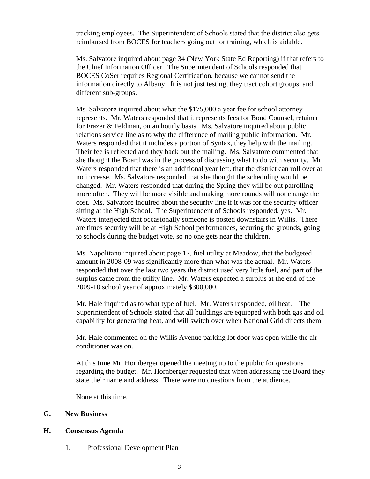tracking employees. The Superintendent of Schools stated that the district also gets reimbursed from BOCES for teachers going out for training, which is aidable.

Ms. Salvatore inquired about page 34 (New York State Ed Reporting) if that refers to the Chief Information Officer. The Superintendent of Schools responded that BOCES CoSer requires Regional Certification, because we cannot send the information directly to Albany. It is not just testing, they tract cohort groups, and different sub-groups.

Ms. Salvatore inquired about what the \$175,000 a year fee for school attorney represents. Mr. Waters responded that it represents fees for Bond Counsel, retainer for Frazer & Feldman, on an hourly basis. Ms. Salvatore inquired about public relations service line as to why the difference of mailing public information. Mr. Waters responded that it includes a portion of Syntax, they help with the mailing. Their fee is reflected and they back out the mailing. Ms. Salvatore commented that she thought the Board was in the process of discussing what to do with security. Mr. Waters responded that there is an additional year left, that the district can roll over at no increase. Ms. Salvatore responded that she thought the scheduling would be changed. Mr. Waters responded that during the Spring they will be out patrolling more often. They will be more visible and making more rounds will not change the cost. Ms. Salvatore inquired about the security line if it was for the security officer sitting at the High School. The Superintendent of Schools responded, yes. Mr. Waters interjected that occasionally someone is posted downstairs in Willis. There are times security will be at High School performances, securing the grounds, going to schools during the budget vote, so no one gets near the children.

Ms. Napolitano inquired about page 17, fuel utility at Meadow, that the budgeted amount in 2008-09 was significantly more than what was the actual. Mr. Waters responded that over the last two years the district used very little fuel, and part of the surplus came from the utility line. Mr. Waters expected a surplus at the end of the 2009-10 school year of approximately \$300,000.

Mr. Hale inquired as to what type of fuel. Mr. Waters responded, oil heat. The Superintendent of Schools stated that all buildings are equipped with both gas and oil capability for generating heat, and will switch over when National Grid directs them.

Mr. Hale commented on the Willis Avenue parking lot door was open while the air conditioner was on.

At this time Mr. Hornberger opened the meeting up to the public for questions regarding the budget. Mr. Hornberger requested that when addressing the Board they state their name and address. There were no questions from the audience.

None at this time.

### **G. New Business**

#### **H. Consensus Agenda**

1. Professional Development Plan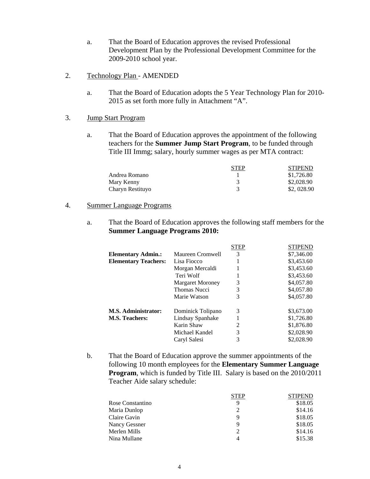- a. That the Board of Education approves the revised Professional Development Plan by the Professional Development Committee for the 2009-2010 school year.
- 2. Technology Plan AMENDED
	- a. That the Board of Education adopts the 5 Year Technology Plan for 2010- 2015 as set forth more fully in Attachment "A".
- 3. Jump Start Program
	- a. That the Board of Education approves the appointment of the following teachers for the **Summer Jump Start Program**, to be funded through Title III Immg; salary, hourly summer wages as per MTA contract:

|                  | <b>STEP</b> | <b>STIPEND</b> |
|------------------|-------------|----------------|
| Andrea Romano    |             | \$1,726.80     |
| Mary Kenny       |             | \$2,028.90     |
| Charyn Restituyo |             | \$2,028.90     |

#### 4. Summer Language Programs

a. That the Board of Education approves the following staff members for the **Summer Language Programs 2010:**

|                             |                         | STEP | <b>STIPEND</b> |
|-----------------------------|-------------------------|------|----------------|
| <b>Elementary Admin.:</b>   | Maureen Cromwell        | 3    | \$7,346.00     |
| <b>Elementary Teachers:</b> | Lisa Fiocco             |      | \$3,453.60     |
|                             | Morgan Mercaldi         |      | \$3,453.60     |
|                             | Teri Wolf               |      | \$3,453.60     |
|                             | <b>Margaret Moroney</b> | 3    | \$4,057.80     |
|                             | <b>Thomas Nucci</b>     | 3    | \$4,057.80     |
|                             | Marie Watson            | 3    | \$4,057.80     |
| <b>M.S. Administrator:</b>  | Dominick Tolipano       | 3    | \$3,673.00     |
| <b>M.S. Teachers:</b>       | Lindsay Spanhake        |      | \$1,726.80     |
|                             | Karin Shaw              | 2    | \$1,876.80     |
|                             | Michael Kandel          | 3    | \$2,028.90     |
|                             | Caryl Salesi            | 3    | \$2,028.90     |
|                             |                         |      |                |

b. That the Board of Education approve the summer appointments of the following 10 month employees for the **Elementary Summer Language Program**, which is funded by Title III. Salary is based on the 2010/2011 Teacher Aide salary schedule:

|                  | STEP | <b>STIPEND</b> |
|------------------|------|----------------|
| Rose Constantino | q    | \$18.05        |
| Maria Dunlop     |      | \$14.16        |
| Claire Gavin     | 9    | \$18.05        |
| Nancy Gessner    | 9    | \$18.05        |
| Merlen Mills     |      | \$14.16        |
| Nina Mullane     | 4    | \$15.38        |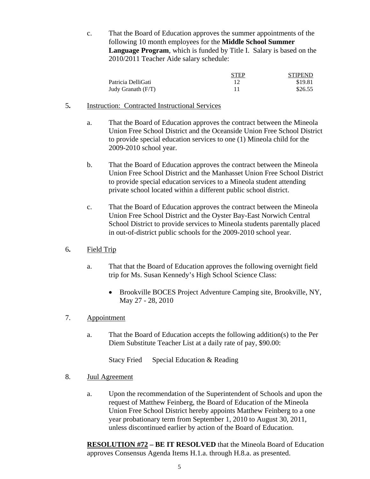c. That the Board of Education approves the summer appointments of the following 10 month employees for the **Middle School Summer Language Program**, which is funded by Title I. Salary is based on the 2010/2011 Teacher Aide salary schedule:

|                    | <b>STEP</b> | <b>STIPEND</b> |
|--------------------|-------------|----------------|
| Patricia DelliGati |             | \$19.81        |
| Judy Granath (F/T) |             | \$26.55        |

- 5**.** Instruction: Contracted Instructional Services
	- a. That the Board of Education approves the contract between the Mineola Union Free School District and the Oceanside Union Free School District to provide special education services to one (1) Mineola child for the 2009-2010 school year.
	- b. That the Board of Education approves the contract between the Mineola Union Free School District and the Manhasset Union Free School District to provide special education services to a Mineola student attending private school located within a different public school district.
	- c. That the Board of Education approves the contract between the Mineola Union Free School District and the Oyster Bay-East Norwich Central School District to provide services to Mineola students parentally placed in out-of-district public schools for the 2009-2010 school year.
- 6**.** Field Trip
	- a. That that the Board of Education approves the following overnight field trip for Ms. Susan Kennedy's High School Science Class:
		- Brookville BOCES Project Adventure Camping site, Brookville, NY, May 27 - 28, 2010

## 7. Appointment

a. That the Board of Education accepts the following addition(s) to the Per Diem Substitute Teacher List at a daily rate of pay, \$90.00:

Stacy Fried Special Education & Reading

### 8. Juul Agreement

a. Upon the recommendation of the Superintendent of Schools and upon the request of Matthew Feinberg, the Board of Education of the Mineola Union Free School District hereby appoints Matthew Feinberg to a one year probationary term from September 1, 2010 to August 30, 2011, unless discontinued earlier by action of the Board of Education.

**RESOLUTION #72 – BE IT RESOLVED** that the Mineola Board of Education approves Consensus Agenda Items H.1.a. through H.8.a. as presented.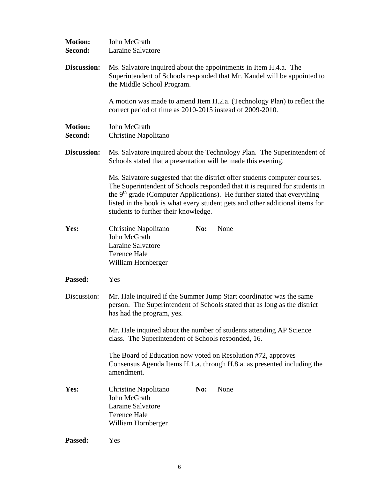| <b>Motion:</b><br>Second: | John McGrath<br><b>Laraine Salvatore</b>                                                                                                                                                                                                                                                                                                                        |  |  |
|---------------------------|-----------------------------------------------------------------------------------------------------------------------------------------------------------------------------------------------------------------------------------------------------------------------------------------------------------------------------------------------------------------|--|--|
| Discussion:               | Ms. Salvatore inquired about the appointments in Item H.4.a. The<br>Superintendent of Schools responded that Mr. Kandel will be appointed to<br>the Middle School Program.                                                                                                                                                                                      |  |  |
|                           | A motion was made to amend Item H.2.a. (Technology Plan) to reflect the<br>correct period of time as 2010-2015 instead of 2009-2010.                                                                                                                                                                                                                            |  |  |
| <b>Motion:</b><br>Second: | John McGrath<br>Christine Napolitano                                                                                                                                                                                                                                                                                                                            |  |  |
| Discussion:               | Ms. Salvatore inquired about the Technology Plan. The Superintendent of<br>Schools stated that a presentation will be made this evening.                                                                                                                                                                                                                        |  |  |
|                           | Ms. Salvatore suggested that the district offer students computer courses.<br>The Superintendent of Schools responded that it is required for students in<br>the $9th$ grade (Computer Applications). He further stated that everything<br>listed in the book is what every student gets and other additional items for<br>students to further their knowledge. |  |  |
| Yes:                      | None<br><b>Christine Napolitano</b><br>No:<br>John McGrath<br>Laraine Salvatore<br><b>Terence Hale</b><br>William Hornberger                                                                                                                                                                                                                                    |  |  |
| Passed:                   | Yes                                                                                                                                                                                                                                                                                                                                                             |  |  |
| Discussion:               | Mr. Hale inquired if the Summer Jump Start coordinator was the same<br>person. The Superintendent of Schools stated that as long as the district<br>has had the program, yes.<br>Mr. Hale inquired about the number of students attending AP Science<br>class. The Superintendent of Schools responded, 16.                                                     |  |  |
|                           |                                                                                                                                                                                                                                                                                                                                                                 |  |  |
|                           | The Board of Education now voted on Resolution #72, approves<br>Consensus Agenda Items H.1.a. through H.8.a. as presented including the<br>amendment.                                                                                                                                                                                                           |  |  |
| Yes:                      | None<br>Christine Napolitano<br>No:<br>John McGrath<br>Laraine Salvatore<br><b>Terence Hale</b><br>William Hornberger                                                                                                                                                                                                                                           |  |  |
| Passed:                   | Yes                                                                                                                                                                                                                                                                                                                                                             |  |  |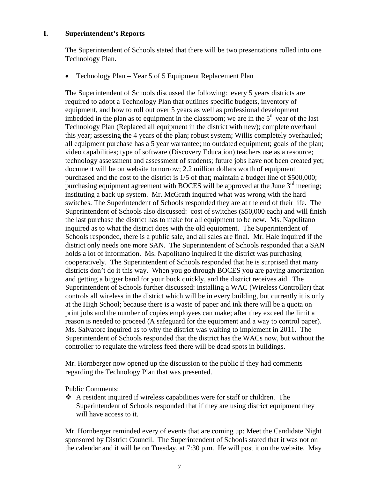## **I. Superintendent's Reports**

The Superintendent of Schools stated that there will be two presentations rolled into one Technology Plan.

• Technology Plan – Year 5 of 5 Equipment Replacement Plan

The Superintendent of Schools discussed the following: every 5 years districts are required to adopt a Technology Plan that outlines specific budgets, inventory of equipment, and how to roll out over 5 years as well as professional development imbedded in the plan as to equipment in the classroom; we are in the  $5<sup>th</sup>$  year of the last Technology Plan (Replaced all equipment in the district with new); complete overhaul this year; assessing the 4 years of the plan; robust system; Willis completely overhauled; all equipment purchase has a 5 year warrantee; no outdated equipment; goals of the plan; video capabilities; type of software (Discovery Education) teachers use as a resource; technology assessment and assessment of students; future jobs have not been created yet; document will be on website tomorrow; 2.2 million dollars worth of equipment purchased and the cost to the district is 1/5 of that; maintain a budget line of \$500,000; purchasing equipment agreement with BOCES will be approved at the June  $3<sup>rd</sup>$  meeting; instituting a back up system. Mr. McGrath inquired what was wrong with the hard switches. The Superintendent of Schools responded they are at the end of their life. The Superintendent of Schools also discussed: cost of switches (\$50,000 each) and will finish the last purchase the district has to make for all equipment to be new. Ms. Napolitano inquired as to what the district does with the old equipment. The Superintendent of Schools responded, there is a public sale, and all sales are final. Mr. Hale inquired if the district only needs one more SAN. The Superintendent of Schools responded that a SAN holds a lot of information. Ms. Napolitano inquired if the district was purchasing cooperatively. The Superintendent of Schools responded that he is surprised that many districts don't do it this way. When you go through BOCES you are paying amortization and getting a bigger band for your buck quickly, and the district receives aid. The Superintendent of Schools further discussed: installing a WAC (Wireless Controller) that controls all wireless in the district which will be in every building, but currently it is only at the High School; because there is a waste of paper and ink there will be a quota on print jobs and the number of copies employees can make; after they exceed the limit a reason is needed to proceed (A safeguard for the equipment and a way to control paper). Ms. Salvatore inquired as to why the district was waiting to implement in 2011. The Superintendent of Schools responded that the district has the WACs now, but without the controller to regulate the wireless feed there will be dead spots in buildings.

Mr. Hornberger now opened up the discussion to the public if they had comments regarding the Technology Plan that was presented.

### Public Comments:

 A resident inquired if wireless capabilities were for staff or children. The Superintendent of Schools responded that if they are using district equipment they will have access to it.

Mr. Hornberger reminded every of events that are coming up: Meet the Candidate Night sponsored by District Council. The Superintendent of Schools stated that it was not on the calendar and it will be on Tuesday, at 7:30 p.m. He will post it on the website. May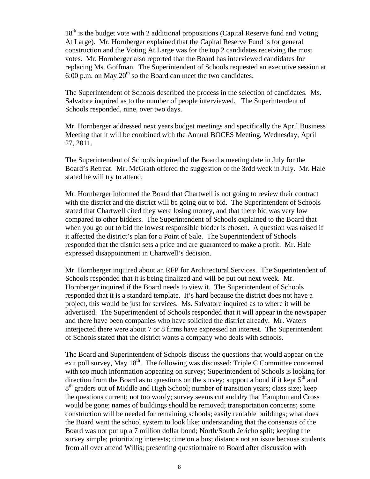$18<sup>th</sup>$  is the budget vote with 2 additional propositions (Capital Reserve fund and Voting At Large). Mr. Hornberger explained that the Capital Reserve Fund is for general construction and the Voting At Large was for the top 2 candidates receiving the most votes. Mr. Hornberger also reported that the Board has interviewed candidates for replacing Ms. Goffman. The Superintendent of Schools requested an executive session at 6:00 p.m. on May  $20^{th}$  so the Board can meet the two candidates.

The Superintendent of Schools described the process in the selection of candidates. Ms. Salvatore inquired as to the number of people interviewed. The Superintendent of Schools responded, nine, over two days.

Mr. Hornberger addressed next years budget meetings and specifically the April Business Meeting that it will be combined with the Annual BOCES Meeting, Wednesday, April 27, 2011.

The Superintendent of Schools inquired of the Board a meeting date in July for the Board's Retreat. Mr. McGrath offered the suggestion of the 3rdd week in July. Mr. Hale stated he will try to attend.

Mr. Hornberger informed the Board that Chartwell is not going to review their contract with the district and the district will be going out to bid. The Superintendent of Schools stated that Chartwell cited they were losing money, and that there bid was very low compared to other bidders. The Superintendent of Schools explained to the Board that when you go out to bid the lowest responsible bidder is chosen. A question was raised if it affected the district's plan for a Point of Sale. The Superintendent of Schools responded that the district sets a price and are guaranteed to make a profit. Mr. Hale expressed disappointment in Chartwell's decision.

Mr. Hornberger inquired about an RFP for Architectural Services. The Superintendent of Schools responded that it is being finalized and will be put out next week. Mr. Hornberger inquired if the Board needs to view it. The Superintendent of Schools responded that it is a standard template. It's hard because the district does not have a project, this would be just for services. Ms. Salvatore inquired as to where it will be advertised. The Superintendent of Schools responded that it will appear in the newspaper and there have been companies who have solicited the district already. Mr. Waters interjected there were about 7 or 8 firms have expressed an interest. The Superintendent of Schools stated that the district wants a company who deals with schools.

The Board and Superintendent of Schools discuss the questions that would appear on the exit poll survey, May  $18<sup>th</sup>$ . The following was discussed: Triple C Committee concerned with too much information appearing on survey; Superintendent of Schools is looking for direction from the Board as to questions on the survey; support a bond if it kept  $5<sup>th</sup>$  and  $8<sup>th</sup>$  graders out of Middle and High School; number of transition years; class size; keep the questions current; not too wordy; survey seems cut and dry that Hampton and Cross would be gone; names of buildings should be removed; transportation concerns; some construction will be needed for remaining schools; easily rentable buildings; what does the Board want the school system to look like; understanding that the consensus of the Board was not put up a 7 million dollar bond; North/South Jericho split; keeping the survey simple; prioritizing interests; time on a bus; distance not an issue because students from all over attend Willis; presenting questionnaire to Board after discussion with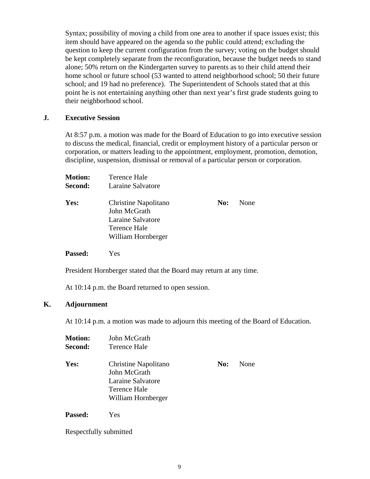Syntax; possibility of moving a child from one area to another if space issues exist; this item should have appeared on the agenda so the public could attend; excluding the question to keep the current configuration from the survey; voting on the budget should be kept completely separate from the reconfiguration, because the budget needs to stand alone; 50% return on the Kindergarten survey to parents as to their child attend their home school or future school (53 wanted to attend neighborhood school; 50 their future school; and 19 had no preference). The Superintendent of Schools stated that at this point he is not entertaining anything other than next year's first grade students going to their neighborhood school.

### **J. Executive Session**

At 8:57 p.m. a motion was made for the Board of Education to go into executive session to discuss the medical, financial, credit or employment history of a particular person or corporation, or matters leading to the appointment, employment, promotion, demotion, discipline, suspension, dismissal or removal of a particular person or corporation.

| <b>Motion:</b> | Terence Hale                                                                                           |     |      |
|----------------|--------------------------------------------------------------------------------------------------------|-----|------|
| <b>Second:</b> | Laraine Salvatore                                                                                      |     |      |
| Yes:           | <b>Christine Napolitano</b><br>John McGrath<br>Laraine Salvatore<br>Terence Hale<br>William Hornberger | No: | None |

**Passed:** Yes

President Hornberger stated that the Board may return at any time.

At 10:14 p.m. the Board returned to open session.

### **K. Adjournment**

At 10:14 p.m. a motion was made to adjourn this meeting of the Board of Education.

| <b>Motion:</b> | John McGrath                                                                                           |     |      |
|----------------|--------------------------------------------------------------------------------------------------------|-----|------|
| Second:        | Terence Hale                                                                                           |     |      |
| Yes:           | Christine Napolitano<br>John McGrath<br>Laraine Salvatore<br><b>Terence Hale</b><br>William Hornberger | No: | None |
|                |                                                                                                        |     |      |

**Passed:** Yes

Respectfully submitted